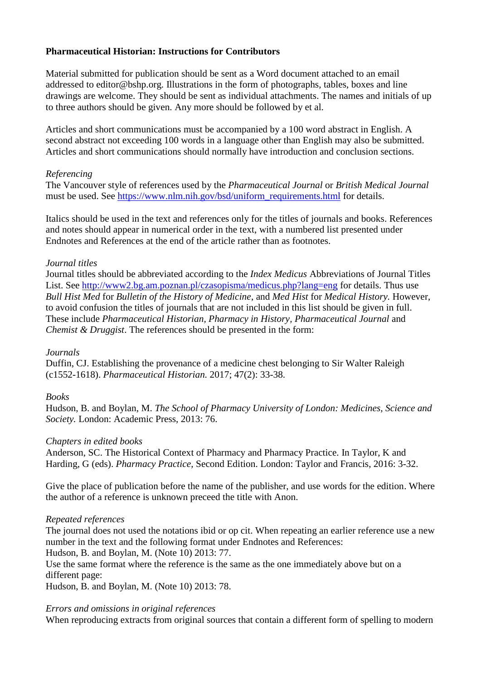# **Pharmaceutical Historian: Instructions for Contributors**

Material submitted for publication should be sent as a Word document attached to an email addressed to editor@bshp.org. Illustrations in the form of photographs, tables, boxes and line drawings are welcome. They should be sent as individual attachments. The names and initials of up to three authors should be given. Any more should be followed by et al.

Articles and short communications must be accompanied by a 100 word abstract in English. A second abstract not exceeding 100 words in a language other than English may also be submitted. Articles and short communications should normally have introduction and conclusion sections.

## *Referencing*

The Vancouver style of references used by the *Pharmaceutical Journal* or *British Medical Journal* must be used. See [https://www.nlm.nih.gov/bsd/uniform\\_requirements.html](https://www.nlm.nih.gov/bsd/uniform_requirements.html) for details.

Italics should be used in the text and references only for the titles of journals and books. References and notes should appear in numerical order in the text, with a numbered list presented under Endnotes and References at the end of the article rather than as footnotes.

### *Journal titles*

Journal titles should be abbreviated according to the *Index Medicus* Abbreviations of Journal Titles List. See<http://www2.bg.am.poznan.pl/czasopisma/medicus.php?lang=eng> for details. Thus use *Bull Hist Med* for *Bulletin of the History of Medicine*, and *Med Hist* for *Medical History.* However, to avoid confusion the titles of journals that are not included in this list should be given in full. These include *Pharmaceutical Historian, Pharmacy in History, Pharmaceutical Journal* and *Chemist & Druggist*. The references should be presented in the form:

#### *Journals*

Duffin, CJ. Establishing the provenance of a medicine chest belonging to Sir Walter Raleigh (c1552-1618). *Pharmaceutical Historian.* 2017; 47(2): 33-38.

## *Books*

Hudson, B. and Boylan, M. *The School of Pharmacy University of London: Medicines, Science and Society.* London: Academic Press, 2013: 76.

#### *Chapters in edited books*

Anderson, SC. The Historical Context of Pharmacy and Pharmacy Practice. In Taylor, K and Harding, G (eds). *Pharmacy Practice,* Second Edition. London: Taylor and Francis, 2016: 3-32.

Give the place of publication before the name of the publisher, and use words for the edition. Where the author of a reference is unknown preceed the title with Anon.

## *Repeated references*

The journal does not used the notations ibid or op cit. When repeating an earlier reference use a new number in the text and the following format under Endnotes and References:

Hudson, B. and Boylan, M. (Note 10) 2013: 77.

Use the same format where the reference is the same as the one immediately above but on a different page:

Hudson, B. and Boylan, M. (Note 10) 2013: 78.

#### *Errors and omissions in original references*

When reproducing extracts from original sources that contain a different form of spelling to modern